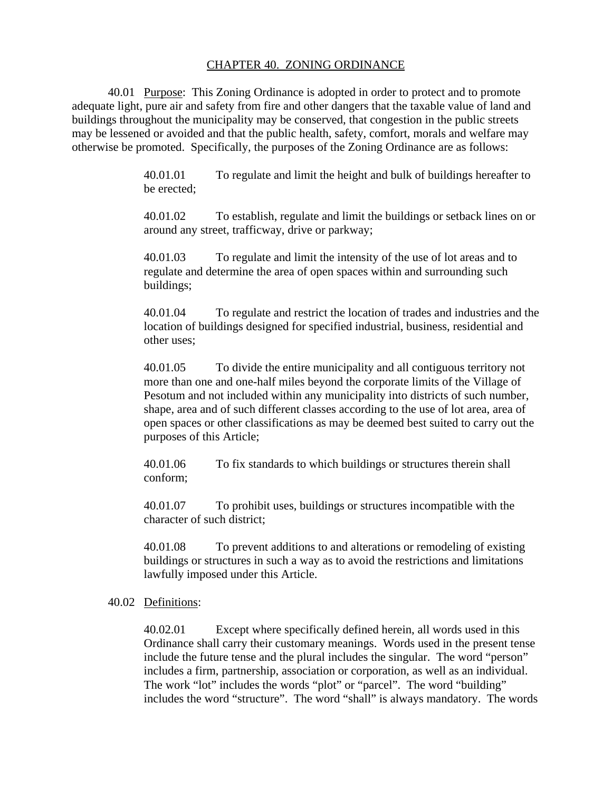### CHAPTER 40. ZONING ORDINANCE

 40.01 Purpose: This Zoning Ordinance is adopted in order to protect and to promote adequate light, pure air and safety from fire and other dangers that the taxable value of land and buildings throughout the municipality may be conserved, that congestion in the public streets may be lessened or avoided and that the public health, safety, comfort, morals and welfare may otherwise be promoted. Specifically, the purposes of the Zoning Ordinance are as follows:

> 40.01.01 To regulate and limit the height and bulk of buildings hereafter to be erected;

40.01.02 To establish, regulate and limit the buildings or setback lines on or around any street, trafficway, drive or parkway;

40.01.03 To regulate and limit the intensity of the use of lot areas and to regulate and determine the area of open spaces within and surrounding such buildings;

40.01.04 To regulate and restrict the location of trades and industries and the location of buildings designed for specified industrial, business, residential and other uses;

40.01.05 To divide the entire municipality and all contiguous territory not more than one and one-half miles beyond the corporate limits of the Village of Pesotum and not included within any municipality into districts of such number, shape, area and of such different classes according to the use of lot area, area of open spaces or other classifications as may be deemed best suited to carry out the purposes of this Article;

40.01.06 To fix standards to which buildings or structures therein shall conform;

40.01.07 To prohibit uses, buildings or structures incompatible with the character of such district;

40.01.08 To prevent additions to and alterations or remodeling of existing buildings or structures in such a way as to avoid the restrictions and limitations lawfully imposed under this Article.

40.02 Definitions:

40.02.01 Except where specifically defined herein, all words used in this Ordinance shall carry their customary meanings. Words used in the present tense include the future tense and the plural includes the singular. The word "person" includes a firm, partnership, association or corporation, as well as an individual. The work "lot" includes the words "plot" or "parcel". The word "building" includes the word "structure". The word "shall" is always mandatory. The words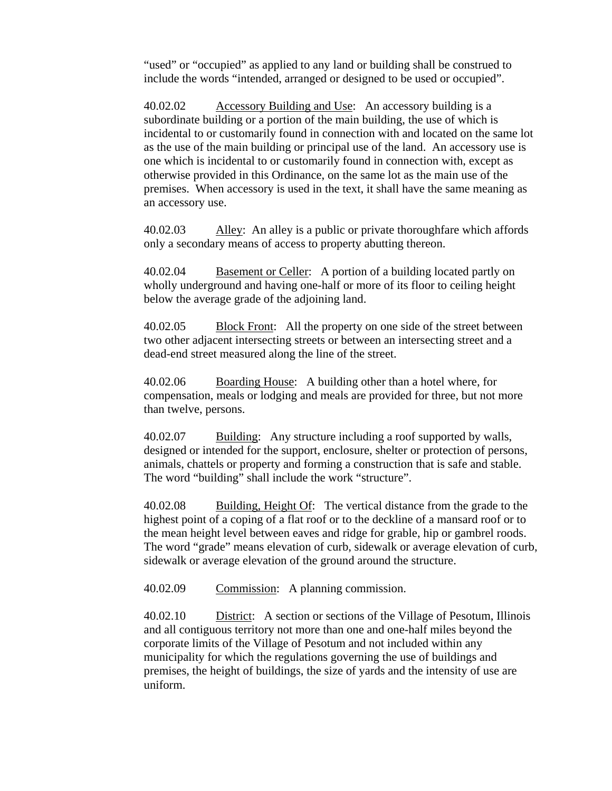"used" or "occupied" as applied to any land or building shall be construed to include the words "intended, arranged or designed to be used or occupied".

40.02.02 Accessory Building and Use: An accessory building is a subordinate building or a portion of the main building, the use of which is incidental to or customarily found in connection with and located on the same lot as the use of the main building or principal use of the land. An accessory use is one which is incidental to or customarily found in connection with, except as otherwise provided in this Ordinance, on the same lot as the main use of the premises. When accessory is used in the text, it shall have the same meaning as an accessory use.

40.02.03 Alley: An alley is a public or private thoroughfare which affords only a secondary means of access to property abutting thereon.

40.02.04 Basement or Celler: A portion of a building located partly on wholly underground and having one-half or more of its floor to ceiling height below the average grade of the adjoining land.

40.02.05 Block Front: All the property on one side of the street between two other adjacent intersecting streets or between an intersecting street and a dead-end street measured along the line of the street.

40.02.06 Boarding House: A building other than a hotel where, for compensation, meals or lodging and meals are provided for three, but not more than twelve, persons.

40.02.07 Building: Any structure including a roof supported by walls, designed or intended for the support, enclosure, shelter or protection of persons, animals, chattels or property and forming a construction that is safe and stable. The word "building" shall include the work "structure".

40.02.08 Building, Height Of: The vertical distance from the grade to the highest point of a coping of a flat roof or to the deckline of a mansard roof or to the mean height level between eaves and ridge for grable, hip or gambrel roods. The word "grade" means elevation of curb, sidewalk or average elevation of curb, sidewalk or average elevation of the ground around the structure.

40.02.09 Commission: A planning commission.

40.02.10 District: A section or sections of the Village of Pesotum, Illinois and all contiguous territory not more than one and one-half miles beyond the corporate limits of the Village of Pesotum and not included within any municipality for which the regulations governing the use of buildings and premises, the height of buildings, the size of yards and the intensity of use are uniform.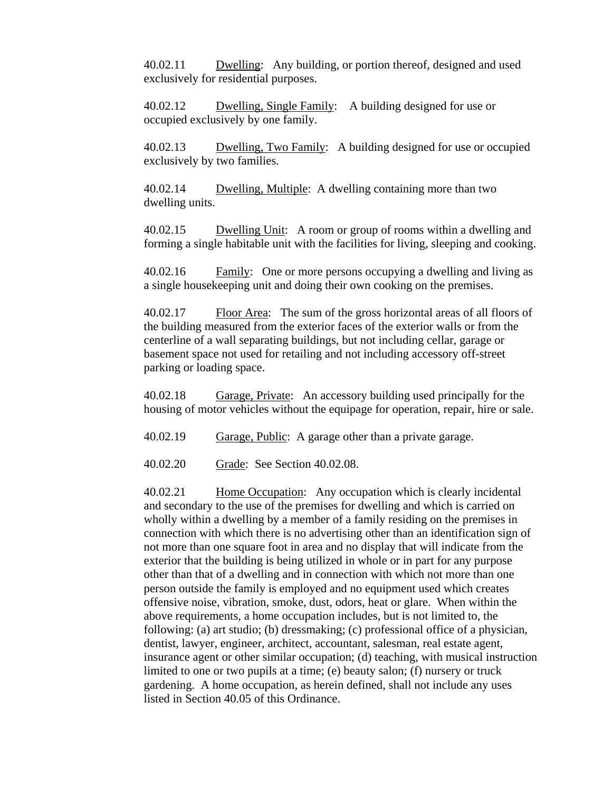40.02.11 Dwelling: Any building, or portion thereof, designed and used exclusively for residential purposes.

40.02.12 Dwelling, Single Family: A building designed for use or occupied exclusively by one family.

40.02.13 Dwelling, Two Family: A building designed for use or occupied exclusively by two families.

40.02.14 Dwelling, Multiple: A dwelling containing more than two dwelling units.

40.02.15 Dwelling Unit: A room or group of rooms within a dwelling and forming a single habitable unit with the facilities for living, sleeping and cooking.

40.02.16 Family: One or more persons occupying a dwelling and living as a single housekeeping unit and doing their own cooking on the premises.

40.02.17 Floor Area: The sum of the gross horizontal areas of all floors of the building measured from the exterior faces of the exterior walls or from the centerline of a wall separating buildings, but not including cellar, garage or basement space not used for retailing and not including accessory off-street parking or loading space.

40.02.18 Garage, Private: An accessory building used principally for the housing of motor vehicles without the equipage for operation, repair, hire or sale.

40.02.19 Garage, Public: A garage other than a private garage.

40.02.20 Grade: See Section 40.02.08.

40.02.21 Home Occupation: Any occupation which is clearly incidental and secondary to the use of the premises for dwelling and which is carried on wholly within a dwelling by a member of a family residing on the premises in connection with which there is no advertising other than an identification sign of not more than one square foot in area and no display that will indicate from the exterior that the building is being utilized in whole or in part for any purpose other than that of a dwelling and in connection with which not more than one person outside the family is employed and no equipment used which creates offensive noise, vibration, smoke, dust, odors, heat or glare. When within the above requirements, a home occupation includes, but is not limited to, the following: (a) art studio; (b) dressmaking; (c) professional office of a physician, dentist, lawyer, engineer, architect, accountant, salesman, real estate agent, insurance agent or other similar occupation; (d) teaching, with musical instruction limited to one or two pupils at a time; (e) beauty salon; (f) nursery or truck gardening. A home occupation, as herein defined, shall not include any uses listed in Section 40.05 of this Ordinance.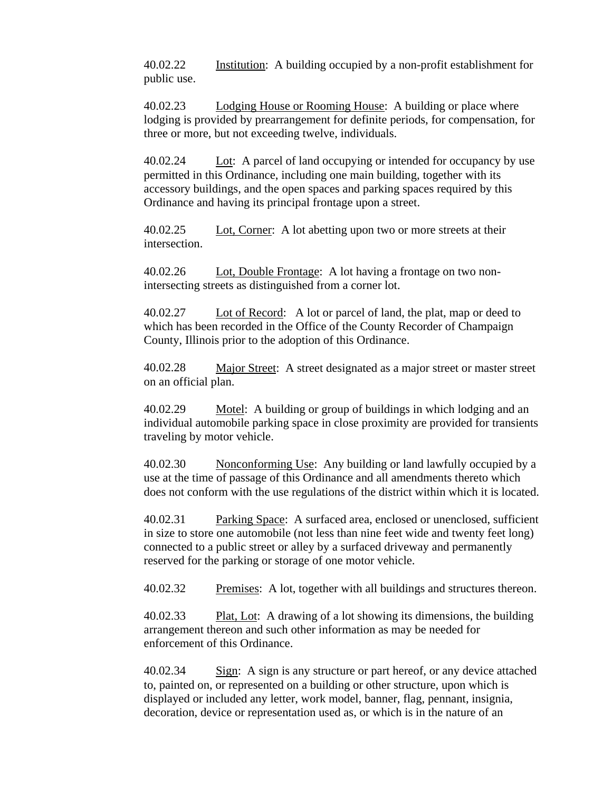40.02.22 Institution: A building occupied by a non-profit establishment for public use.

40.02.23 Lodging House or Rooming House: A building or place where lodging is provided by prearrangement for definite periods, for compensation, for three or more, but not exceeding twelve, individuals.

40.02.24 Lot: A parcel of land occupying or intended for occupancy by use permitted in this Ordinance, including one main building, together with its accessory buildings, and the open spaces and parking spaces required by this Ordinance and having its principal frontage upon a street.

40.02.25 Lot, Corner: A lot abetting upon two or more streets at their intersection.

40.02.26 Lot, Double Frontage: A lot having a frontage on two nonintersecting streets as distinguished from a corner lot.

40.02.27 Lot of Record: A lot or parcel of land, the plat, map or deed to which has been recorded in the Office of the County Recorder of Champaign County, Illinois prior to the adoption of this Ordinance.

40.02.28 Major Street: A street designated as a major street or master street on an official plan.

40.02.29 Motel: A building or group of buildings in which lodging and an individual automobile parking space in close proximity are provided for transients traveling by motor vehicle.

40.02.30 Nonconforming Use: Any building or land lawfully occupied by a use at the time of passage of this Ordinance and all amendments thereto which does not conform with the use regulations of the district within which it is located.

40.02.31 Parking Space: A surfaced area, enclosed or unenclosed, sufficient in size to store one automobile (not less than nine feet wide and twenty feet long) connected to a public street or alley by a surfaced driveway and permanently reserved for the parking or storage of one motor vehicle.

40.02.32 Premises: A lot, together with all buildings and structures thereon.

40.02.33 Plat, Lot: A drawing of a lot showing its dimensions, the building arrangement thereon and such other information as may be needed for enforcement of this Ordinance.

40.02.34 Sign: A sign is any structure or part hereof, or any device attached to, painted on, or represented on a building or other structure, upon which is displayed or included any letter, work model, banner, flag, pennant, insignia, decoration, device or representation used as, or which is in the nature of an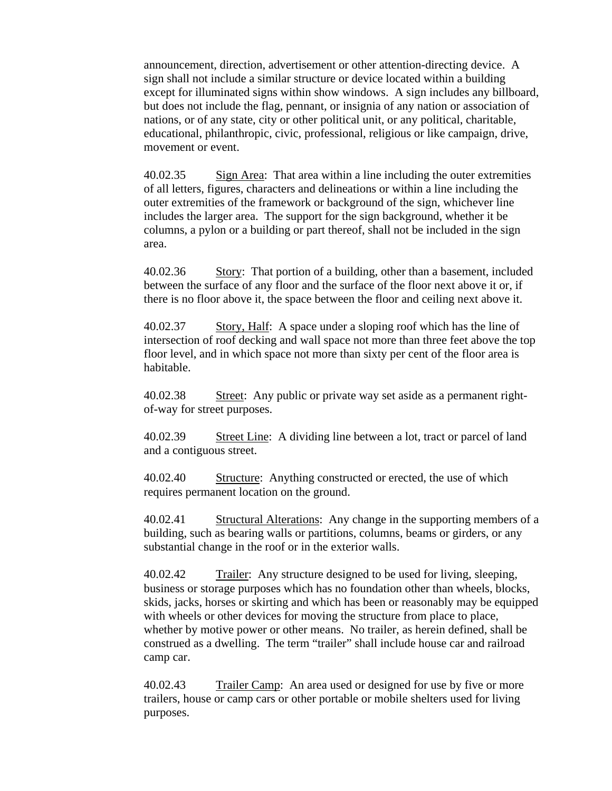announcement, direction, advertisement or other attention-directing device. A sign shall not include a similar structure or device located within a building except for illuminated signs within show windows. A sign includes any billboard, but does not include the flag, pennant, or insignia of any nation or association of nations, or of any state, city or other political unit, or any political, charitable, educational, philanthropic, civic, professional, religious or like campaign, drive, movement or event.

40.02.35 Sign Area: That area within a line including the outer extremities of all letters, figures, characters and delineations or within a line including the outer extremities of the framework or background of the sign, whichever line includes the larger area. The support for the sign background, whether it be columns, a pylon or a building or part thereof, shall not be included in the sign area.

40.02.36 Story: That portion of a building, other than a basement, included between the surface of any floor and the surface of the floor next above it or, if there is no floor above it, the space between the floor and ceiling next above it.

40.02.37 Story, Half: A space under a sloping roof which has the line of intersection of roof decking and wall space not more than three feet above the top floor level, and in which space not more than sixty per cent of the floor area is habitable.

40.02.38 Street: Any public or private way set aside as a permanent rightof-way for street purposes.

40.02.39 Street Line: A dividing line between a lot, tract or parcel of land and a contiguous street.

40.02.40 Structure: Anything constructed or erected, the use of which requires permanent location on the ground.

40.02.41 Structural Alterations: Any change in the supporting members of a building, such as bearing walls or partitions, columns, beams or girders, or any substantial change in the roof or in the exterior walls.

40.02.42 Trailer: Any structure designed to be used for living, sleeping, business or storage purposes which has no foundation other than wheels, blocks, skids, jacks, horses or skirting and which has been or reasonably may be equipped with wheels or other devices for moving the structure from place to place, whether by motive power or other means. No trailer, as herein defined, shall be construed as a dwelling. The term "trailer" shall include house car and railroad camp car.

40.02.43 Trailer Camp: An area used or designed for use by five or more trailers, house or camp cars or other portable or mobile shelters used for living purposes.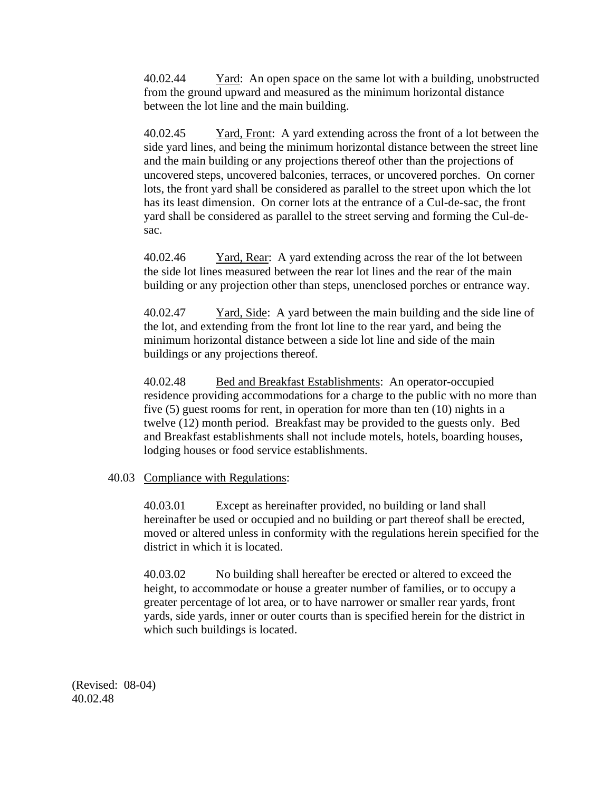40.02.44 Yard: An open space on the same lot with a building, unobstructed from the ground upward and measured as the minimum horizontal distance between the lot line and the main building.

40.02.45 Yard, Front: A yard extending across the front of a lot between the side yard lines, and being the minimum horizontal distance between the street line and the main building or any projections thereof other than the projections of uncovered steps, uncovered balconies, terraces, or uncovered porches. On corner lots, the front yard shall be considered as parallel to the street upon which the lot has its least dimension. On corner lots at the entrance of a Cul-de-sac, the front yard shall be considered as parallel to the street serving and forming the Cul-desac.

40.02.46 Yard, Rear: A yard extending across the rear of the lot between the side lot lines measured between the rear lot lines and the rear of the main building or any projection other than steps, unenclosed porches or entrance way.

40.02.47 Yard, Side: A yard between the main building and the side line of the lot, and extending from the front lot line to the rear yard, and being the minimum horizontal distance between a side lot line and side of the main buildings or any projections thereof.

40.02.48 Bed and Breakfast Establishments: An operator-occupied residence providing accommodations for a charge to the public with no more than five (5) guest rooms for rent, in operation for more than ten (10) nights in a twelve (12) month period. Breakfast may be provided to the guests only. Bed and Breakfast establishments shall not include motels, hotels, boarding houses, lodging houses or food service establishments.

## 40.03 Compliance with Regulations:

40.03.01 Except as hereinafter provided, no building or land shall hereinafter be used or occupied and no building or part thereof shall be erected, moved or altered unless in conformity with the regulations herein specified for the district in which it is located.

40.03.02 No building shall hereafter be erected or altered to exceed the height, to accommodate or house a greater number of families, or to occupy a greater percentage of lot area, or to have narrower or smaller rear yards, front yards, side yards, inner or outer courts than is specified herein for the district in which such buildings is located.

(Revised: 08-04) 40.02.48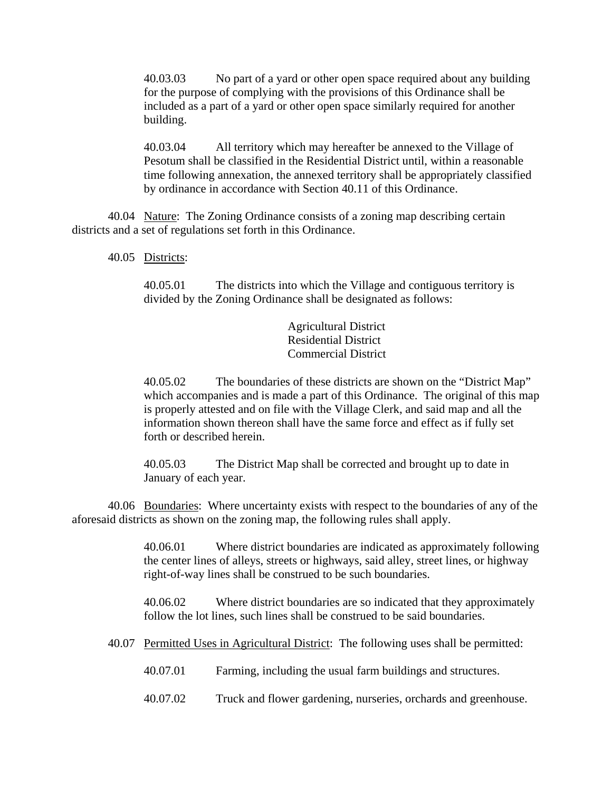40.03.03 No part of a yard or other open space required about any building for the purpose of complying with the provisions of this Ordinance shall be included as a part of a yard or other open space similarly required for another building.

40.03.04 All territory which may hereafter be annexed to the Village of Pesotum shall be classified in the Residential District until, within a reasonable time following annexation, the annexed territory shall be appropriately classified by ordinance in accordance with Section 40.11 of this Ordinance.

40.04 Nature: The Zoning Ordinance consists of a zoning map describing certain districts and a set of regulations set forth in this Ordinance.

40.05 Districts:

40.05.01 The districts into which the Village and contiguous territory is divided by the Zoning Ordinance shall be designated as follows:

> Agricultural District Residential District Commercial District

40.05.02 The boundaries of these districts are shown on the "District Map" which accompanies and is made a part of this Ordinance. The original of this map is properly attested and on file with the Village Clerk, and said map and all the information shown thereon shall have the same force and effect as if fully set forth or described herein.

40.05.03 The District Map shall be corrected and brought up to date in January of each year.

40.06 Boundaries: Where uncertainty exists with respect to the boundaries of any of the aforesaid districts as shown on the zoning map, the following rules shall apply.

> 40.06.01 Where district boundaries are indicated as approximately following the center lines of alleys, streets or highways, said alley, street lines, or highway right-of-way lines shall be construed to be such boundaries.

> 40.06.02 Where district boundaries are so indicated that they approximately follow the lot lines, such lines shall be construed to be said boundaries.

- 40.07 Permitted Uses in Agricultural District: The following uses shall be permitted:
	- 40.07.01 Farming, including the usual farm buildings and structures.
	- 40.07.02 Truck and flower gardening, nurseries, orchards and greenhouse.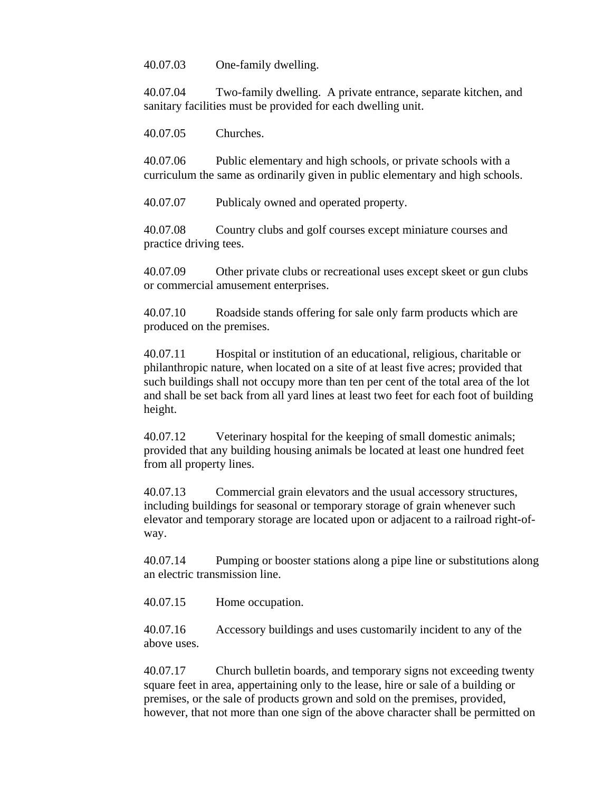40.07.03 One-family dwelling.

40.07.04 Two-family dwelling. A private entrance, separate kitchen, and sanitary facilities must be provided for each dwelling unit.

40.07.05 Churches.

40.07.06 Public elementary and high schools, or private schools with a curriculum the same as ordinarily given in public elementary and high schools.

40.07.07 Publicaly owned and operated property.

40.07.08 Country clubs and golf courses except miniature courses and practice driving tees.

40.07.09 Other private clubs or recreational uses except skeet or gun clubs or commercial amusement enterprises.

40.07.10 Roadside stands offering for sale only farm products which are produced on the premises.

40.07.11 Hospital or institution of an educational, religious, charitable or philanthropic nature, when located on a site of at least five acres; provided that such buildings shall not occupy more than ten per cent of the total area of the lot and shall be set back from all yard lines at least two feet for each foot of building height.

40.07.12 Veterinary hospital for the keeping of small domestic animals; provided that any building housing animals be located at least one hundred feet from all property lines.

40.07.13 Commercial grain elevators and the usual accessory structures, including buildings for seasonal or temporary storage of grain whenever such elevator and temporary storage are located upon or adjacent to a railroad right-ofway.

40.07.14 Pumping or booster stations along a pipe line or substitutions along an electric transmission line.

40.07.15 Home occupation.

40.07.16 Accessory buildings and uses customarily incident to any of the above uses.

40.07.17 Church bulletin boards, and temporary signs not exceeding twenty square feet in area, appertaining only to the lease, hire or sale of a building or premises, or the sale of products grown and sold on the premises, provided, however, that not more than one sign of the above character shall be permitted on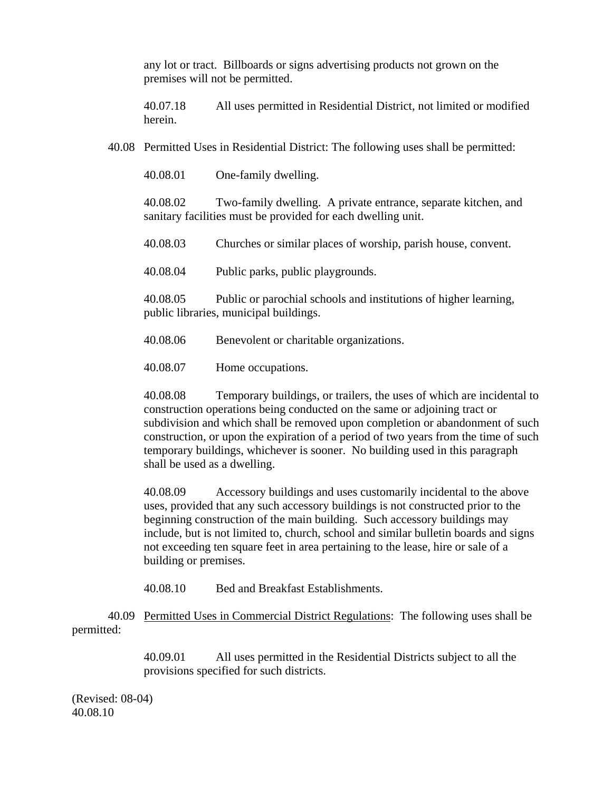any lot or tract. Billboards or signs advertising products not grown on the premises will not be permitted.

40.07.18 All uses permitted in Residential District, not limited or modified herein.

40.08 Permitted Uses in Residential District: The following uses shall be permitted:

40.08.01 One-family dwelling.

40.08.02 Two-family dwelling. A private entrance, separate kitchen, and sanitary facilities must be provided for each dwelling unit.

40.08.03 Churches or similar places of worship, parish house, convent.

40.08.04 Public parks, public playgrounds.

40.08.05 Public or parochial schools and institutions of higher learning, public libraries, municipal buildings.

40.08.06 Benevolent or charitable organizations.

40.08.07 Home occupations.

40.08.08 Temporary buildings, or trailers, the uses of which are incidental to construction operations being conducted on the same or adjoining tract or subdivision and which shall be removed upon completion or abandonment of such construction, or upon the expiration of a period of two years from the time of such temporary buildings, whichever is sooner. No building used in this paragraph shall be used as a dwelling.

40.08.09 Accessory buildings and uses customarily incidental to the above uses, provided that any such accessory buildings is not constructed prior to the beginning construction of the main building. Such accessory buildings may include, but is not limited to, church, school and similar bulletin boards and signs not exceeding ten square feet in area pertaining to the lease, hire or sale of a building or premises.

40.08.10 Bed and Breakfast Establishments.

40.09 Permitted Uses in Commercial District Regulations: The following uses shall be permitted:

> 40.09.01 All uses permitted in the Residential Districts subject to all the provisions specified for such districts.

(Revised: 08-04) 40.08.10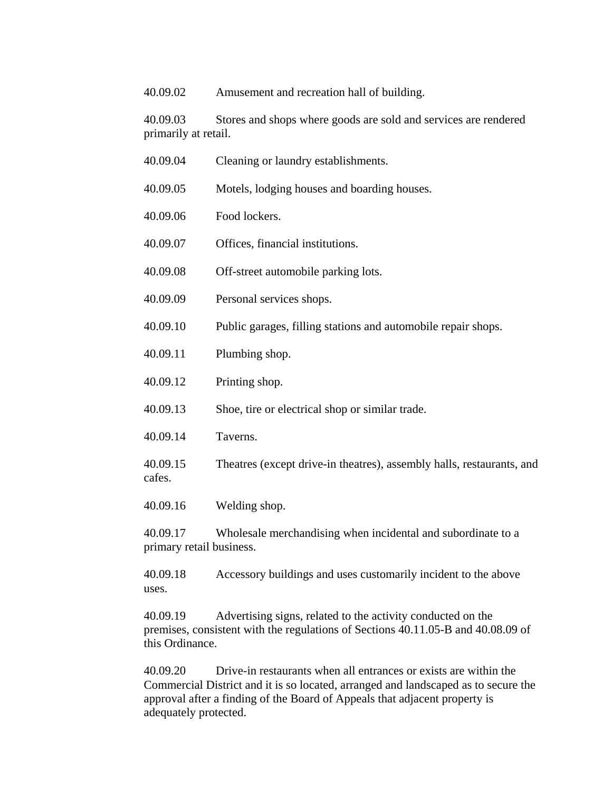40.09.02 Amusement and recreation hall of building.

40.09.03 Stores and shops where goods are sold and services are rendered primarily at retail.

- 40.09.04 Cleaning or laundry establishments.
- 40.09.05 Motels, lodging houses and boarding houses.
- 40.09.06 Food lockers.
- 40.09.07 Offices, financial institutions.
- 40.09.08 Off-street automobile parking lots.
- 40.09.09 Personal services shops.
- 40.09.10 Public garages, filling stations and automobile repair shops.
- 40.09.11 Plumbing shop.
- 40.09.12 Printing shop.
- 40.09.13 Shoe, tire or electrical shop or similar trade.
- 40.09.14 Taverns.
- 40.09.15 Theatres (except drive-in theatres), assembly halls, restaurants, and cafes.
- 40.09.16 Welding shop.

40.09.17 Wholesale merchandising when incidental and subordinate to a primary retail business.

40.09.18 Accessory buildings and uses customarily incident to the above uses.

40.09.19 Advertising signs, related to the activity conducted on the premises, consistent with the regulations of Sections 40.11.05-B and 40.08.09 of this Ordinance.

40.09.20 Drive-in restaurants when all entrances or exists are within the Commercial District and it is so located, arranged and landscaped as to secure the approval after a finding of the Board of Appeals that adjacent property is adequately protected.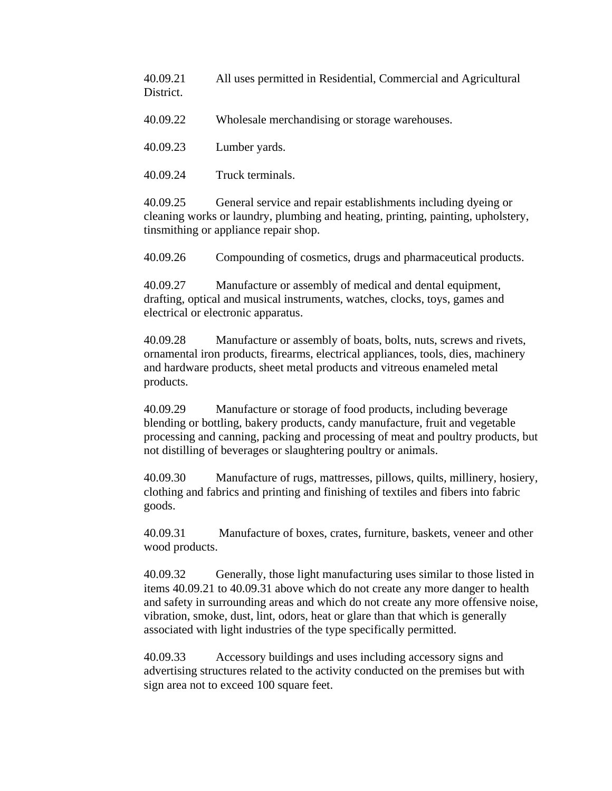40.09.21 All uses permitted in Residential, Commercial and Agricultural District.

40.09.22 Wholesale merchandising or storage warehouses.

40.09.23 Lumber yards.

40.09.24 Truck terminals.

40.09.25 General service and repair establishments including dyeing or cleaning works or laundry, plumbing and heating, printing, painting, upholstery, tinsmithing or appliance repair shop.

40.09.26 Compounding of cosmetics, drugs and pharmaceutical products.

40.09.27 Manufacture or assembly of medical and dental equipment, drafting, optical and musical instruments, watches, clocks, toys, games and electrical or electronic apparatus.

40.09.28 Manufacture or assembly of boats, bolts, nuts, screws and rivets, ornamental iron products, firearms, electrical appliances, tools, dies, machinery and hardware products, sheet metal products and vitreous enameled metal products.

40.09.29 Manufacture or storage of food products, including beverage blending or bottling, bakery products, candy manufacture, fruit and vegetable processing and canning, packing and processing of meat and poultry products, but not distilling of beverages or slaughtering poultry or animals.

40.09.30 Manufacture of rugs, mattresses, pillows, quilts, millinery, hosiery, clothing and fabrics and printing and finishing of textiles and fibers into fabric goods.

40.09.31 Manufacture of boxes, crates, furniture, baskets, veneer and other wood products.

40.09.32 Generally, those light manufacturing uses similar to those listed in items 40.09.21 to 40.09.31 above which do not create any more danger to health and safety in surrounding areas and which do not create any more offensive noise, vibration, smoke, dust, lint, odors, heat or glare than that which is generally associated with light industries of the type specifically permitted.

40.09.33 Accessory buildings and uses including accessory signs and advertising structures related to the activity conducted on the premises but with sign area not to exceed 100 square feet.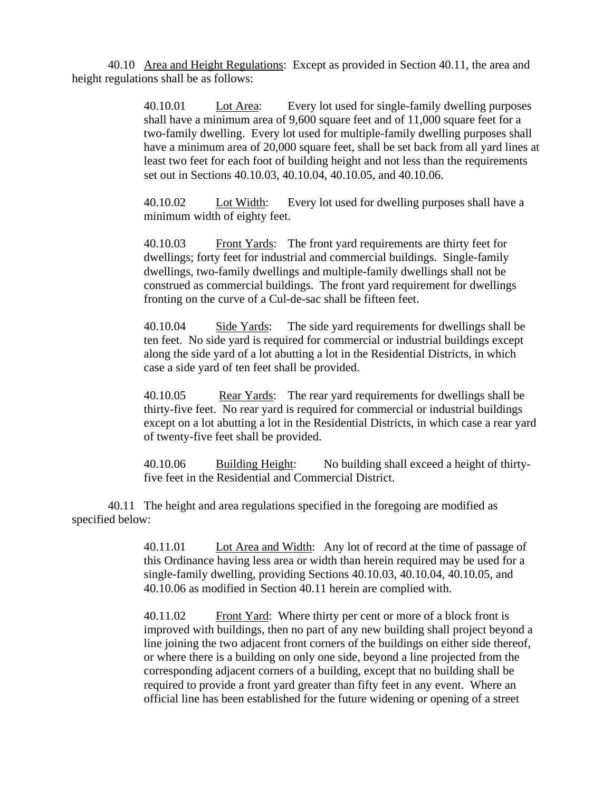40.10 Area and Height Regulations: Except as provided in Section 40.11, the area and height regulations shall be as follows:

> 40.10.01 Lot Area: Every lot used for single-family dwelling purposes shall have a minimum area of 9,600 square feet and of 11,000 square feet for a two-family dwelling. Every lot used for multiple-family dwelling purposes shall have a minimum area of 20,000 square feet, shall be set back from all yard lines at least two feet for each foot of building height and not less than the requirements set out in Sections 40.10.03, 40.10.04, 40.10.05, and 40.10.06.

40.10.02 Lot Width: Every lot used for dwelling purposes shall have a minimum width of eighty feet.

40.10.03 Front Yards: The front yard requirements are thirty feet for dwellings; forty feet for industrial and commercial buildings. Single-family dwellings, two-family dwellings and multiple-family dwellings shall not be construed as commercial buildings. The front yard requirement for dwellings fronting on the curve of a Cul-de-sac shall be fifteen feet.

40.10.04 Side Yards: The side yard requirements for dwellings shall be ten feet. No side yard is required for commercial or industrial buildings except along the side yard of a lot abutting a lot in the Residential Districts, in which case a side yard of ten feet shall be provided.

40.10.05 Rear Yards: The rear yard requirements for dwellings shall be thirty-five feet. No rear yard is required for commercial or industrial buildings except on a lot abutting a lot in the Residential Districts, in which case a rear yard of twenty-five feet shall be provided.

40.10.06 Building Height: No building shall exceed a height of thirtyfive feet in the Residential and Commercial District.

40.11 The height and area regulations specified in the foregoing are modified as specified below:

> 40.11.01 Lot Area and Width: Any lot of record at the time of passage of this Ordinance having less area or width than herein required may be used for a single-family dwelling, providing Sections 40.10.03, 40.10.04, 40.10.05, and 40.10.06 as modified in Section 40.11 herein are complied with.

40.11.02 Front Yard: Where thirty per cent or more of a block front is improved with buildings, then no part of any new building shall project beyond a line joining the two adjacent front corners of the buildings on either side thereof, or where there is a building on only one side, beyond a line projected from the corresponding adjacent corners of a building, except that no building shall be required to provide a front yard greater than fifty feet in any event. Where an official line has been established for the future widening or opening of a street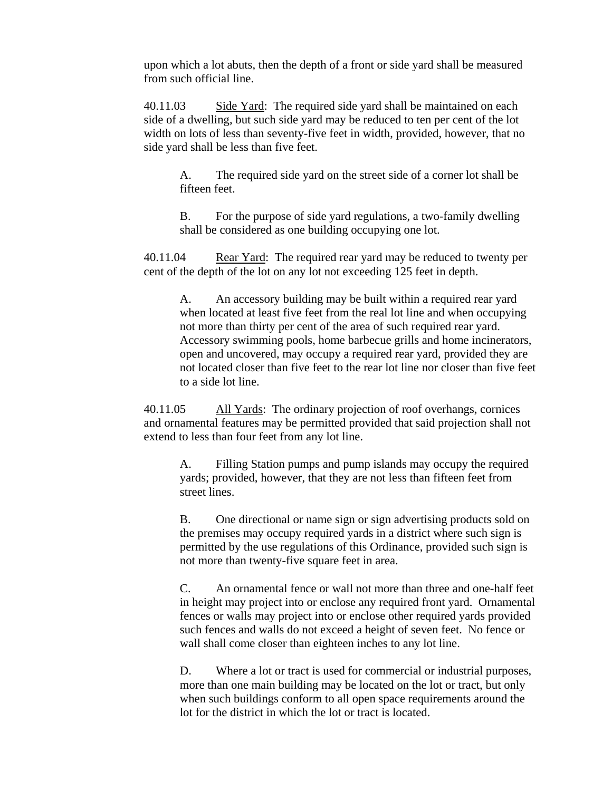upon which a lot abuts, then the depth of a front or side yard shall be measured from such official line.

40.11.03 Side Yard: The required side yard shall be maintained on each side of a dwelling, but such side yard may be reduced to ten per cent of the lot width on lots of less than seventy-five feet in width, provided, however, that no side yard shall be less than five feet.

A. The required side yard on the street side of a corner lot shall be fifteen feet.

B. For the purpose of side yard regulations, a two-family dwelling shall be considered as one building occupying one lot.

40.11.04 Rear Yard: The required rear yard may be reduced to twenty per cent of the depth of the lot on any lot not exceeding 125 feet in depth.

A. An accessory building may be built within a required rear yard when located at least five feet from the real lot line and when occupying not more than thirty per cent of the area of such required rear yard. Accessory swimming pools, home barbecue grills and home incinerators, open and uncovered, may occupy a required rear yard, provided they are not located closer than five feet to the rear lot line nor closer than five feet to a side lot line.

40.11.05 All Yards: The ordinary projection of roof overhangs, cornices and ornamental features may be permitted provided that said projection shall not extend to less than four feet from any lot line.

A. Filling Station pumps and pump islands may occupy the required yards; provided, however, that they are not less than fifteen feet from street lines.

B. One directional or name sign or sign advertising products sold on the premises may occupy required yards in a district where such sign is permitted by the use regulations of this Ordinance, provided such sign is not more than twenty-five square feet in area.

C. An ornamental fence or wall not more than three and one-half feet in height may project into or enclose any required front yard. Ornamental fences or walls may project into or enclose other required yards provided such fences and walls do not exceed a height of seven feet. No fence or wall shall come closer than eighteen inches to any lot line.

D. Where a lot or tract is used for commercial or industrial purposes, more than one main building may be located on the lot or tract, but only when such buildings conform to all open space requirements around the lot for the district in which the lot or tract is located.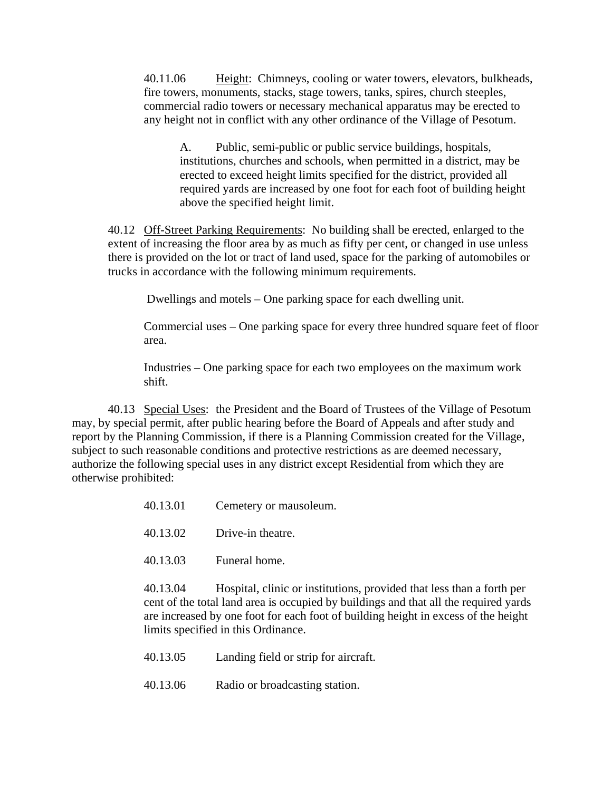40.11.06 Height: Chimneys, cooling or water towers, elevators, bulkheads, fire towers, monuments, stacks, stage towers, tanks, spires, church steeples, commercial radio towers or necessary mechanical apparatus may be erected to any height not in conflict with any other ordinance of the Village of Pesotum.

A. Public, semi-public or public service buildings, hospitals, institutions, churches and schools, when permitted in a district, may be erected to exceed height limits specified for the district, provided all required yards are increased by one foot for each foot of building height above the specified height limit.

40.12 Off-Street Parking Requirements: No building shall be erected, enlarged to the extent of increasing the floor area by as much as fifty per cent, or changed in use unless there is provided on the lot or tract of land used, space for the parking of automobiles or trucks in accordance with the following minimum requirements.

Dwellings and motels – One parking space for each dwelling unit.

Commercial uses – One parking space for every three hundred square feet of floor area.

Industries – One parking space for each two employees on the maximum work shift.

 40.13 Special Uses: the President and the Board of Trustees of the Village of Pesotum may, by special permit, after public hearing before the Board of Appeals and after study and report by the Planning Commission, if there is a Planning Commission created for the Village, subject to such reasonable conditions and protective restrictions as are deemed necessary, authorize the following special uses in any district except Residential from which they are otherwise prohibited:

| 40.13.01 | Cemetery or mausoleum. |
|----------|------------------------|
|----------|------------------------|

- 40.13.02 Drive-in theatre.
- 40.13.03 Funeral home.

40.13.04 Hospital, clinic or institutions, provided that less than a forth per cent of the total land area is occupied by buildings and that all the required yards are increased by one foot for each foot of building height in excess of the height limits specified in this Ordinance.

| 40.13.05 |  | Landing field or strip for aircraft. |
|----------|--|--------------------------------------|
|----------|--|--------------------------------------|

40.13.06 Radio or broadcasting station.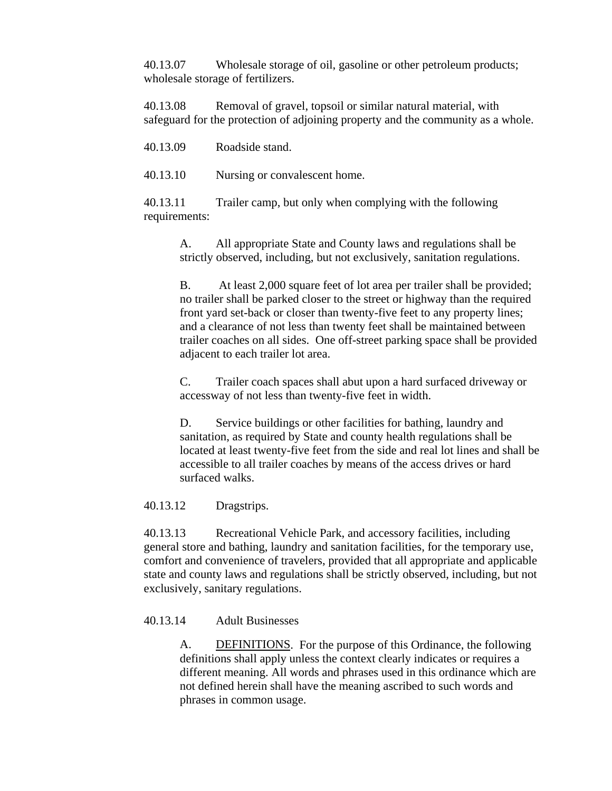40.13.07 Wholesale storage of oil, gasoline or other petroleum products; wholesale storage of fertilizers.

40.13.08 Removal of gravel, topsoil or similar natural material, with safeguard for the protection of adjoining property and the community as a whole.

| Roadside stand. |
|-----------------|
|                 |

40.13.10 Nursing or convalescent home.

40.13.11 Trailer camp, but only when complying with the following requirements:

> A. All appropriate State and County laws and regulations shall be strictly observed, including, but not exclusively, sanitation regulations.

B. At least 2,000 square feet of lot area per trailer shall be provided; no trailer shall be parked closer to the street or highway than the required front yard set-back or closer than twenty-five feet to any property lines; and a clearance of not less than twenty feet shall be maintained between trailer coaches on all sides. One off-street parking space shall be provided adjacent to each trailer lot area.

C. Trailer coach spaces shall abut upon a hard surfaced driveway or accessway of not less than twenty-five feet in width.

D. Service buildings or other facilities for bathing, laundry and sanitation, as required by State and county health regulations shall be located at least twenty-five feet from the side and real lot lines and shall be accessible to all trailer coaches by means of the access drives or hard surfaced walks.

40.13.12 Dragstrips.

40.13.13 Recreational Vehicle Park, and accessory facilities, including general store and bathing, laundry and sanitation facilities, for the temporary use, comfort and convenience of travelers, provided that all appropriate and applicable state and county laws and regulations shall be strictly observed, including, but not exclusively, sanitary regulations.

## 40.13.14 Adult Businesses

A. DEFINITIONS. For the purpose of this Ordinance, the following definitions shall apply unless the context clearly indicates or requires a different meaning. All words and phrases used in this ordinance which are not defined herein shall have the meaning ascribed to such words and phrases in common usage.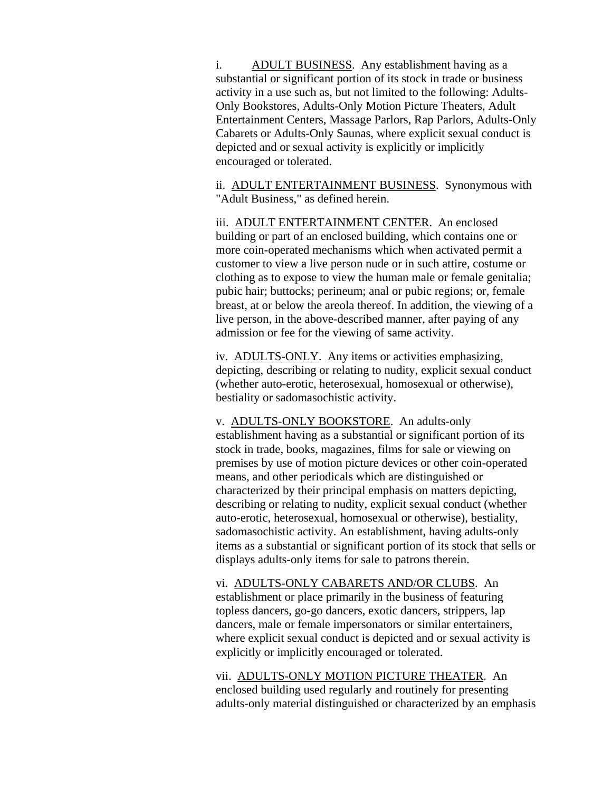i. ADULT BUSINESS. Any establishment having as a substantial or significant portion of its stock in trade or business activity in a use such as, but not limited to the following: Adults-Only Bookstores, Adults-Only Motion Picture Theaters, Adult Entertainment Centers, Massage Parlors, Rap Parlors, Adults-Only Cabarets or Adults-Only Saunas, where explicit sexual conduct is depicted and or sexual activity is explicitly or implicitly encouraged or tolerated.

ii. ADULT ENTERTAINMENT BUSINESS. Synonymous with "Adult Business," as defined herein.

iii. ADULT ENTERTAINMENT CENTER. An enclosed building or part of an enclosed building, which contains one or more coin-operated mechanisms which when activated permit a customer to view a live person nude or in such attire, costume or clothing as to expose to view the human male or female genitalia; pubic hair; buttocks; perineum; anal or pubic regions; or, female breast, at or below the areola thereof. In addition, the viewing of a live person, in the above-described manner, after paying of any admission or fee for the viewing of same activity.

iv. ADULTS-ONLY. Any items or activities emphasizing, depicting, describing or relating to nudity, explicit sexual conduct (whether auto-erotic, heterosexual, homosexual or otherwise), bestiality or sadomasochistic activity.

v. ADULTS-ONLY BOOKSTORE. An adults-only establishment having as a substantial or significant portion of its stock in trade, books, magazines, films for sale or viewing on premises by use of motion picture devices or other coin-operated means, and other periodicals which are distinguished or characterized by their principal emphasis on matters depicting, describing or relating to nudity, explicit sexual conduct (whether auto-erotic, heterosexual, homosexual or otherwise), bestiality, sadomasochistic activity. An establishment, having adults-only items as a substantial or significant portion of its stock that sells or displays adults-only items for sale to patrons therein.

vi. ADULTS-ONLY CABARETS AND/OR CLUBS. An establishment or place primarily in the business of featuring topless dancers, go-go dancers, exotic dancers, strippers, lap dancers, male or female impersonators or similar entertainers, where explicit sexual conduct is depicted and or sexual activity is explicitly or implicitly encouraged or tolerated.

vii. ADULTS-ONLY MOTION PICTURE THEATER. An enclosed building used regularly and routinely for presenting adults-only material distinguished or characterized by an emphasis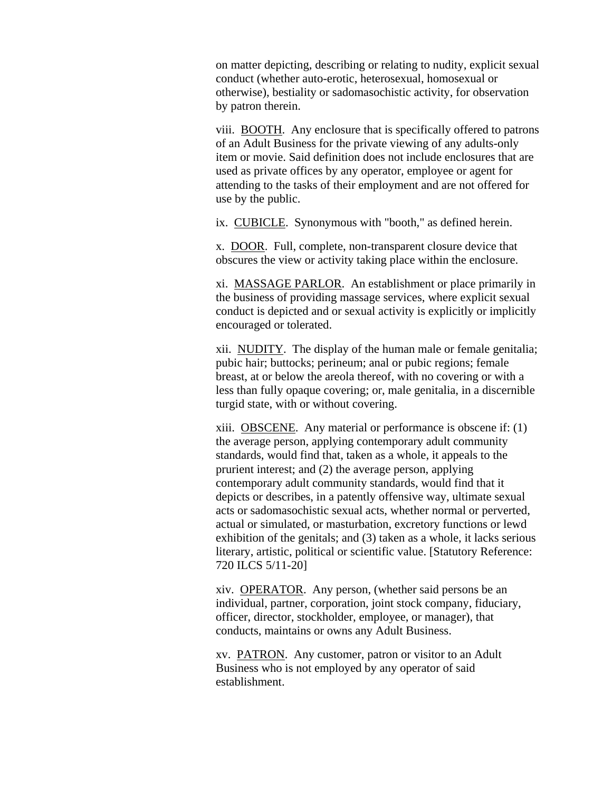on matter depicting, describing or relating to nudity, explicit sexual conduct (whether auto-erotic, heterosexual, homosexual or otherwise), bestiality or sadomasochistic activity, for observation by patron therein.

viii. BOOTH. Any enclosure that is specifically offered to patrons of an Adult Business for the private viewing of any adults-only item or movie. Said definition does not include enclosures that are used as private offices by any operator, employee or agent for attending to the tasks of their employment and are not offered for use by the public.

ix. CUBICLE. Synonymous with "booth," as defined herein.

x. DOOR. Full, complete, non-transparent closure device that obscures the view or activity taking place within the enclosure.

xi. MASSAGE PARLOR. An establishment or place primarily in the business of providing massage services, where explicit sexual conduct is depicted and or sexual activity is explicitly or implicitly encouraged or tolerated.

xii. NUDITY. The display of the human male or female genitalia; pubic hair; buttocks; perineum; anal or pubic regions; female breast, at or below the areola thereof, with no covering or with a less than fully opaque covering; or, male genitalia, in a discernible turgid state, with or without covering.

xiii. OBSCENE. Any material or performance is obscene if: (1) the average person, applying contemporary adult community standards, would find that, taken as a whole, it appeals to the prurient interest; and (2) the average person, applying contemporary adult community standards, would find that it depicts or describes, in a patently offensive way, ultimate sexual acts or sadomasochistic sexual acts, whether normal or perverted, actual or simulated, or masturbation, excretory functions or lewd exhibition of the genitals; and (3) taken as a whole, it lacks serious literary, artistic, political or scientific value. [Statutory Reference: 720 ILCS 5/11-20]

xiv. OPERATOR. Any person, (whether said persons be an individual, partner, corporation, joint stock company, fiduciary, officer, director, stockholder, employee, or manager), that conducts, maintains or owns any Adult Business.

xv. PATRON. Any customer, patron or visitor to an Adult Business who is not employed by any operator of said establishment.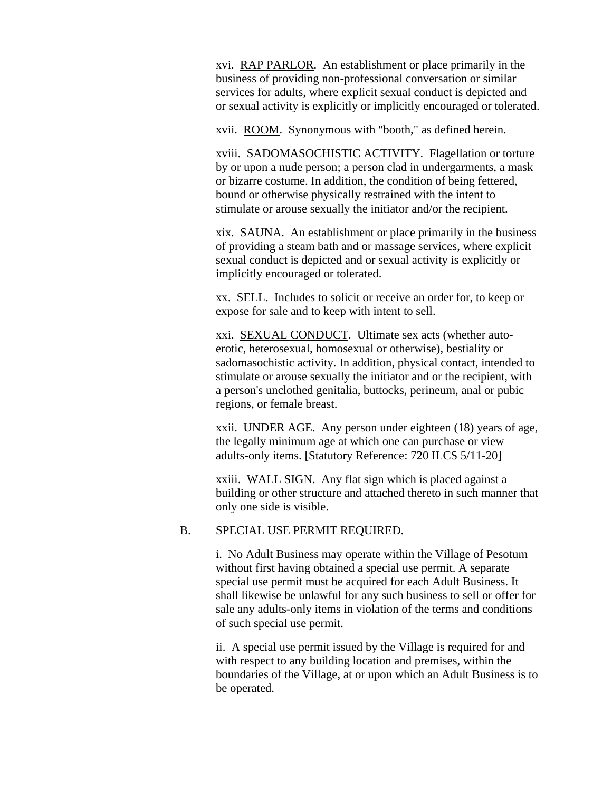xvi. RAP PARLOR. An establishment or place primarily in the business of providing non-professional conversation or similar services for adults, where explicit sexual conduct is depicted and or sexual activity is explicitly or implicitly encouraged or tolerated.

xvii. ROOM. Synonymous with "booth," as defined herein.

xviii. SADOMASOCHISTIC ACTIVITY. Flagellation or torture by or upon a nude person; a person clad in undergarments, a mask or bizarre costume. In addition, the condition of being fettered, bound or otherwise physically restrained with the intent to stimulate or arouse sexually the initiator and/or the recipient.

xix. SAUNA. An establishment or place primarily in the business of providing a steam bath and or massage services, where explicit sexual conduct is depicted and or sexual activity is explicitly or implicitly encouraged or tolerated.

xx. SELL. Includes to solicit or receive an order for, to keep or expose for sale and to keep with intent to sell.

xxi. SEXUAL CONDUCT. Ultimate sex acts (whether autoerotic, heterosexual, homosexual or otherwise), bestiality or sadomasochistic activity. In addition, physical contact, intended to stimulate or arouse sexually the initiator and or the recipient, with a person's unclothed genitalia, buttocks, perineum, anal or pubic regions, or female breast.

xxii. UNDER AGE. Any person under eighteen (18) years of age, the legally minimum age at which one can purchase or view adults-only items. [Statutory Reference: 720 ILCS 5/11-20]

xxiii. WALL SIGN. Any flat sign which is placed against a building or other structure and attached thereto in such manner that only one side is visible.

## B. SPECIAL USE PERMIT REQUIRED.

i. No Adult Business may operate within the Village of Pesotum without first having obtained a special use permit. A separate special use permit must be acquired for each Adult Business. It shall likewise be unlawful for any such business to sell or offer for sale any adults-only items in violation of the terms and conditions of such special use permit.

ii. A special use permit issued by the Village is required for and with respect to any building location and premises, within the boundaries of the Village, at or upon which an Adult Business is to be operated.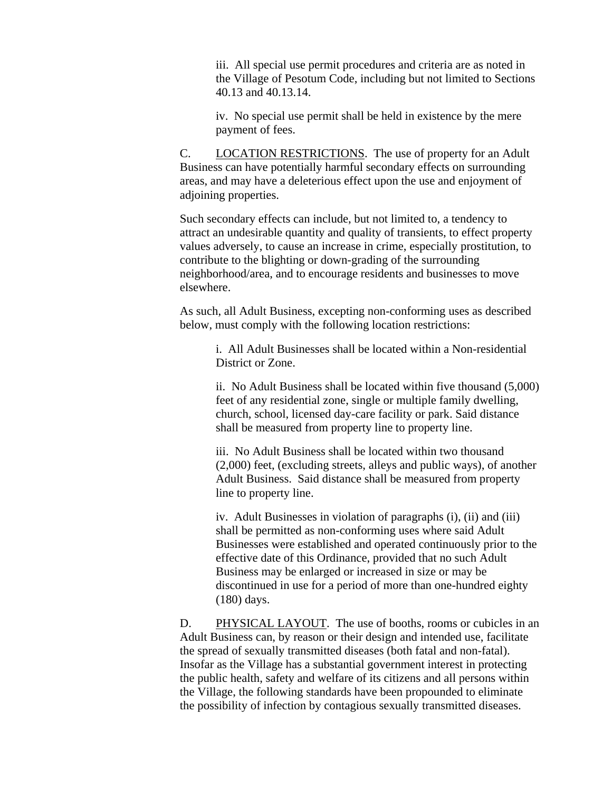iii. All special use permit procedures and criteria are as noted in the Village of Pesotum Code, including but not limited to Sections 40.13 and 40.13.14.

iv. No special use permit shall be held in existence by the mere payment of fees.

C. LOCATION RESTRICTIONS. The use of property for an Adult Business can have potentially harmful secondary effects on surrounding areas, and may have a deleterious effect upon the use and enjoyment of adjoining properties.

Such secondary effects can include, but not limited to, a tendency to attract an undesirable quantity and quality of transients, to effect property values adversely, to cause an increase in crime, especially prostitution, to contribute to the blighting or down-grading of the surrounding neighborhood/area, and to encourage residents and businesses to move elsewhere.

As such, all Adult Business, excepting non-conforming uses as described below, must comply with the following location restrictions:

i. All Adult Businesses shall be located within a Non-residential District or Zone.

ii. No Adult Business shall be located within five thousand (5,000) feet of any residential zone, single or multiple family dwelling, church, school, licensed day-care facility or park. Said distance shall be measured from property line to property line.

iii. No Adult Business shall be located within two thousand (2,000) feet, (excluding streets, alleys and public ways), of another Adult Business. Said distance shall be measured from property line to property line.

iv. Adult Businesses in violation of paragraphs (i), (ii) and (iii) shall be permitted as non-conforming uses where said Adult Businesses were established and operated continuously prior to the effective date of this Ordinance, provided that no such Adult Business may be enlarged or increased in size or may be discontinued in use for a period of more than one-hundred eighty (180) days.

D. PHYSICAL LAYOUT. The use of booths, rooms or cubicles in an Adult Business can, by reason or their design and intended use, facilitate the spread of sexually transmitted diseases (both fatal and non-fatal). Insofar as the Village has a substantial government interest in protecting the public health, safety and welfare of its citizens and all persons within the Village, the following standards have been propounded to eliminate the possibility of infection by contagious sexually transmitted diseases.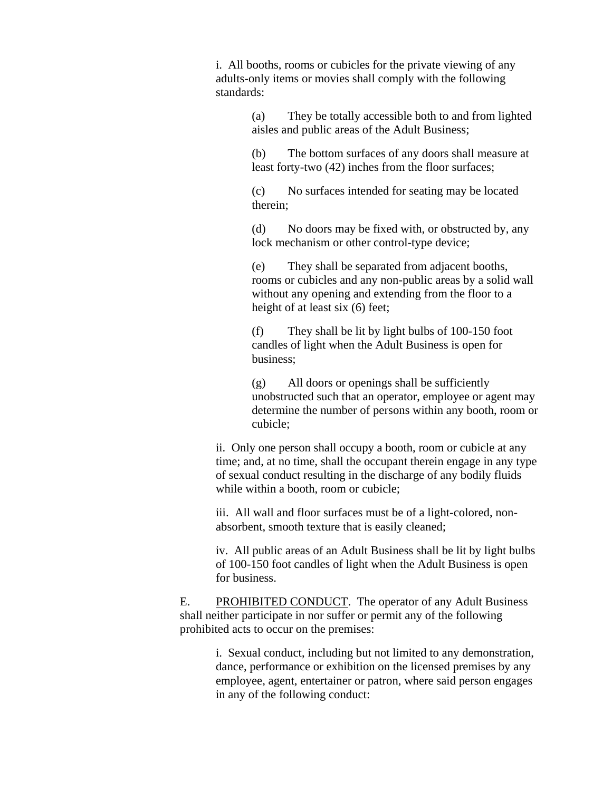i. All booths, rooms or cubicles for the private viewing of any adults-only items or movies shall comply with the following standards:

> (a) They be totally accessible both to and from lighted aisles and public areas of the Adult Business;

> (b) The bottom surfaces of any doors shall measure at least forty-two (42) inches from the floor surfaces;

(c) No surfaces intended for seating may be located therein;

(d) No doors may be fixed with, or obstructed by, any lock mechanism or other control-type device;

(e) They shall be separated from adjacent booths, rooms or cubicles and any non-public areas by a solid wall without any opening and extending from the floor to a height of at least six (6) feet;

(f) They shall be lit by light bulbs of 100-150 foot candles of light when the Adult Business is open for business;

(g) All doors or openings shall be sufficiently unobstructed such that an operator, employee or agent may determine the number of persons within any booth, room or cubicle;

ii. Only one person shall occupy a booth, room or cubicle at any time; and, at no time, shall the occupant therein engage in any type of sexual conduct resulting in the discharge of any bodily fluids while within a booth, room or cubicle;

iii. All wall and floor surfaces must be of a light-colored, nonabsorbent, smooth texture that is easily cleaned;

iv. All public areas of an Adult Business shall be lit by light bulbs of 100-150 foot candles of light when the Adult Business is open for business.

E. PROHIBITED CONDUCT. The operator of any Adult Business shall neither participate in nor suffer or permit any of the following prohibited acts to occur on the premises:

> i. Sexual conduct, including but not limited to any demonstration, dance, performance or exhibition on the licensed premises by any employee, agent, entertainer or patron, where said person engages in any of the following conduct: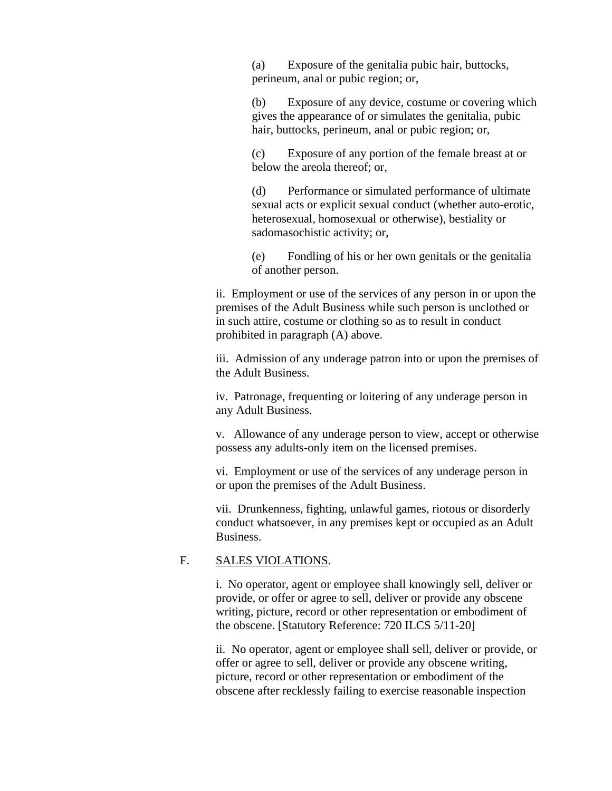(a) Exposure of the genitalia pubic hair, buttocks, perineum, anal or pubic region; or,

(b) Exposure of any device, costume or covering which gives the appearance of or simulates the genitalia, pubic hair, buttocks, perineum, anal or pubic region; or,

(c) Exposure of any portion of the female breast at or below the areola thereof; or,

(d) Performance or simulated performance of ultimate sexual acts or explicit sexual conduct (whether auto-erotic, heterosexual, homosexual or otherwise), bestiality or sadomasochistic activity; or,

(e) Fondling of his or her own genitals or the genitalia of another person.

ii. Employment or use of the services of any person in or upon the premises of the Adult Business while such person is unclothed or in such attire, costume or clothing so as to result in conduct prohibited in paragraph (A) above.

iii. Admission of any underage patron into or upon the premises of the Adult Business.

iv. Patronage, frequenting or loitering of any underage person in any Adult Business.

v. Allowance of any underage person to view, accept or otherwise possess any adults-only item on the licensed premises.

vi. Employment or use of the services of any underage person in or upon the premises of the Adult Business.

vii. Drunkenness, fighting, unlawful games, riotous or disorderly conduct whatsoever, in any premises kept or occupied as an Adult Business.

### F. SALES VIOLATIONS.

i. No operator, agent or employee shall knowingly sell, deliver or provide, or offer or agree to sell, deliver or provide any obscene writing, picture, record or other representation or embodiment of the obscene. [Statutory Reference: 720 ILCS 5/11-20]

ii. No operator, agent or employee shall sell, deliver or provide, or offer or agree to sell, deliver or provide any obscene writing, picture, record or other representation or embodiment of the obscene after recklessly failing to exercise reasonable inspection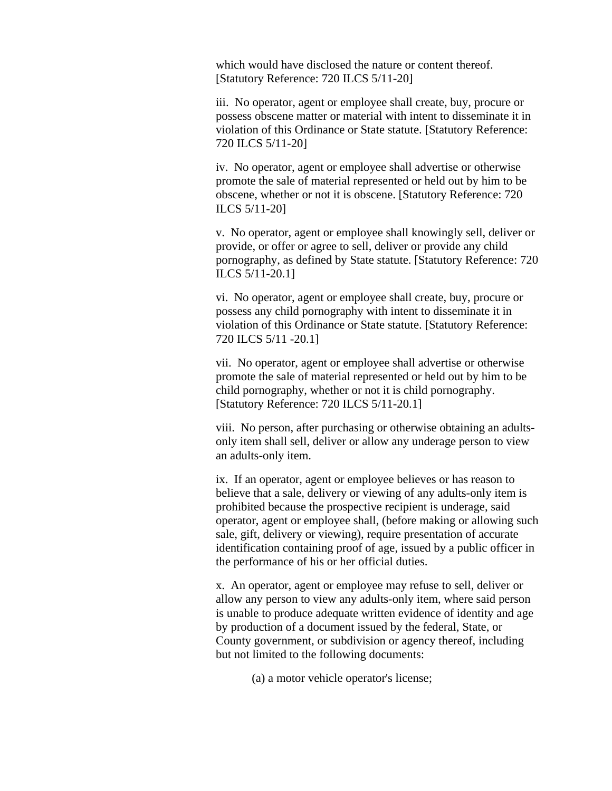which would have disclosed the nature or content thereof. [Statutory Reference: 720 ILCS 5/11-20]

iii. No operator, agent or employee shall create, buy, procure or possess obscene matter or material with intent to disseminate it in violation of this Ordinance or State statute. [Statutory Reference: 720 ILCS 5/11-20]

iv. No operator, agent or employee shall advertise or otherwise promote the sale of material represented or held out by him to be obscene, whether or not it is obscene. [Statutory Reference: 720 ILCS 5/11-20]

v. No operator, agent or employee shall knowingly sell, deliver or provide, or offer or agree to sell, deliver or provide any child pornography, as defined by State statute. [Statutory Reference: 720 ILCS 5/11-20.1]

vi. No operator, agent or employee shall create, buy, procure or possess any child pornography with intent to disseminate it in violation of this Ordinance or State statute. [Statutory Reference: 720 ILCS 5/11 -20.1]

vii. No operator, agent or employee shall advertise or otherwise promote the sale of material represented or held out by him to be child pornography, whether or not it is child pornography. [Statutory Reference: 720 ILCS 5/11-20.1]

viii. No person, after purchasing or otherwise obtaining an adultsonly item shall sell, deliver or allow any underage person to view an adults-only item.

ix. If an operator, agent or employee believes or has reason to believe that a sale, delivery or viewing of any adults-only item is prohibited because the prospective recipient is underage, said operator, agent or employee shall, (before making or allowing such sale, gift, delivery or viewing), require presentation of accurate identification containing proof of age, issued by a public officer in the performance of his or her official duties.

x. An operator, agent or employee may refuse to sell, deliver or allow any person to view any adults-only item, where said person is unable to produce adequate written evidence of identity and age by production of a document issued by the federal, State, or County government, or subdivision or agency thereof, including but not limited to the following documents:

(a) a motor vehicle operator's license;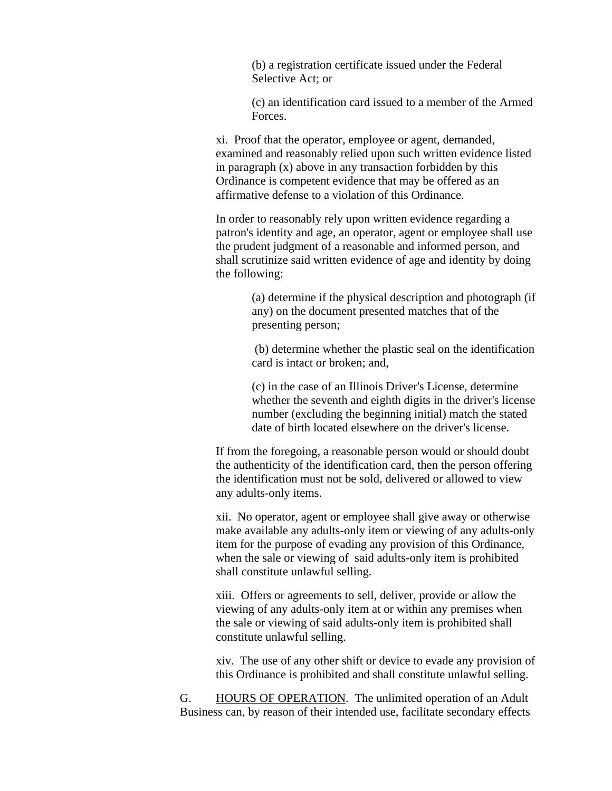(b) a registration certificate issued under the Federal Selective Act; or

(c) an identification card issued to a member of the Armed Forces.

xi. Proof that the operator, employee or agent, demanded, examined and reasonably relied upon such written evidence listed in paragraph (x) above in any transaction forbidden by this Ordinance is competent evidence that may be offered as an affirmative defense to a violation of this Ordinance.

In order to reasonably rely upon written evidence regarding a patron's identity and age, an operator, agent or employee shall use the prudent judgment of a reasonable and informed person, and shall scrutinize said written evidence of age and identity by doing the following:

> (a) determine if the physical description and photograph (if any) on the document presented matches that of the presenting person;

> (b) determine whether the plastic seal on the identification card is intact or broken; and,

> (c) in the case of an Illinois Driver's License, determine whether the seventh and eighth digits in the driver's license number (excluding the beginning initial) match the stated date of birth located elsewhere on the driver's license.

If from the foregoing, a reasonable person would or should doubt the authenticity of the identification card, then the person offering the identification must not be sold, delivered or allowed to view any adults-only items.

xii. No operator, agent or employee shall give away or otherwise make available any adults-only item or viewing of any adults-only item for the purpose of evading any provision of this Ordinance, when the sale or viewing of said adults-only item is prohibited shall constitute unlawful selling.

xiii. Offers or agreements to sell, deliver, provide or allow the viewing of any adults-only item at or within any premises when the sale or viewing of said adults-only item is prohibited shall constitute unlawful selling.

xiv. The use of any other shift or device to evade any provision of this Ordinance is prohibited and shall constitute unlawful selling.

G. HOURS OF OPERATION. The unlimited operation of an Adult Business can, by reason of their intended use, facilitate secondary effects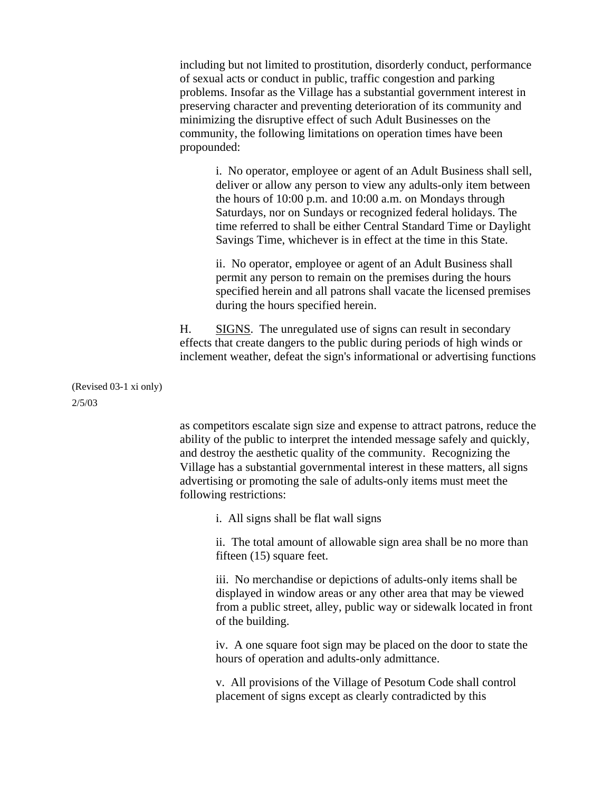including but not limited to prostitution, disorderly conduct, performance of sexual acts or conduct in public, traffic congestion and parking problems. Insofar as the Village has a substantial government interest in preserving character and preventing deterioration of its community and minimizing the disruptive effect of such Adult Businesses on the community, the following limitations on operation times have been propounded:

> i. No operator, employee or agent of an Adult Business shall sell, deliver or allow any person to view any adults-only item between the hours of 10:00 p.m. and 10:00 a.m. on Mondays through Saturdays, nor on Sundays or recognized federal holidays. The time referred to shall be either Central Standard Time or Daylight Savings Time, whichever is in effect at the time in this State.

> ii. No operator, employee or agent of an Adult Business shall permit any person to remain on the premises during the hours specified herein and all patrons shall vacate the licensed premises during the hours specified herein.

H. SIGNS. The unregulated use of signs can result in secondary effects that create dangers to the public during periods of high winds or inclement weather, defeat the sign's informational or advertising functions

(Revised 03-1 xi only) 2/5/03

> as competitors escalate sign size and expense to attract patrons, reduce the ability of the public to interpret the intended message safely and quickly, and destroy the aesthetic quality of the community. Recognizing the Village has a substantial governmental interest in these matters, all signs advertising or promoting the sale of adults-only items must meet the following restrictions:

i. All signs shall be flat wall signs

ii. The total amount of allowable sign area shall be no more than fifteen (15) square feet.

iii. No merchandise or depictions of adults-only items shall be displayed in window areas or any other area that may be viewed from a public street, alley, public way or sidewalk located in front of the building.

iv. A one square foot sign may be placed on the door to state the hours of operation and adults-only admittance.

v. All provisions of the Village of Pesotum Code shall control placement of signs except as clearly contradicted by this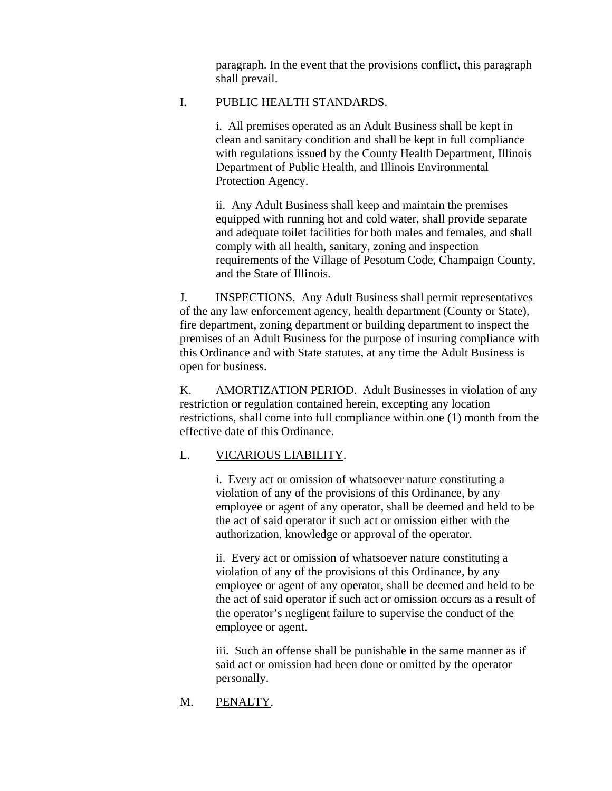paragraph. In the event that the provisions conflict, this paragraph shall prevail.

# I. PUBLIC HEALTH STANDARDS.

i. All premises operated as an Adult Business shall be kept in clean and sanitary condition and shall be kept in full compliance with regulations issued by the County Health Department, Illinois Department of Public Health, and Illinois Environmental Protection Agency.

ii. Any Adult Business shall keep and maintain the premises equipped with running hot and cold water, shall provide separate and adequate toilet facilities for both males and females, and shall comply with all health, sanitary, zoning and inspection requirements of the Village of Pesotum Code, Champaign County, and the State of Illinois.

J. INSPECTIONS. Any Adult Business shall permit representatives of the any law enforcement agency, health department (County or State), fire department, zoning department or building department to inspect the premises of an Adult Business for the purpose of insuring compliance with this Ordinance and with State statutes, at any time the Adult Business is open for business.

K. AMORTIZATION PERIOD. Adult Businesses in violation of any restriction or regulation contained herein, excepting any location restrictions, shall come into full compliance within one (1) month from the effective date of this Ordinance.

# L. VICARIOUS LIABILITY.

i. Every act or omission of whatsoever nature constituting a violation of any of the provisions of this Ordinance, by any employee or agent of any operator, shall be deemed and held to be the act of said operator if such act or omission either with the authorization, knowledge or approval of the operator.

ii. Every act or omission of whatsoever nature constituting a violation of any of the provisions of this Ordinance, by any employee or agent of any operator, shall be deemed and held to be the act of said operator if such act or omission occurs as a result of the operator's negligent failure to supervise the conduct of the employee or agent.

iii. Such an offense shall be punishable in the same manner as if said act or omission had been done or omitted by the operator personally.

# M. PENALTY.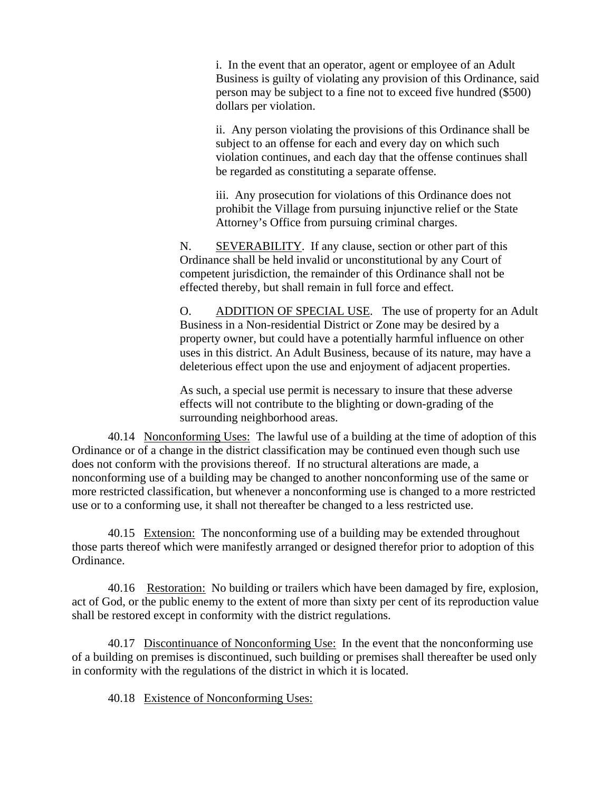i. In the event that an operator, agent or employee of an Adult Business is guilty of violating any provision of this Ordinance, said person may be subject to a fine not to exceed five hundred (\$500) dollars per violation.

ii. Any person violating the provisions of this Ordinance shall be subject to an offense for each and every day on which such violation continues, and each day that the offense continues shall be regarded as constituting a separate offense.

iii. Any prosecution for violations of this Ordinance does not prohibit the Village from pursuing injunctive relief or the State Attorney's Office from pursuing criminal charges.

N. SEVERABILITY. If any clause, section or other part of this Ordinance shall be held invalid or unconstitutional by any Court of competent jurisdiction, the remainder of this Ordinance shall not be effected thereby, but shall remain in full force and effect.

O. ADDITION OF SPECIAL USE. The use of property for an Adult Business in a Non-residential District or Zone may be desired by a property owner, but could have a potentially harmful influence on other uses in this district. An Adult Business, because of its nature, may have a deleterious effect upon the use and enjoyment of adjacent properties.

As such, a special use permit is necessary to insure that these adverse effects will not contribute to the blighting or down-grading of the surrounding neighborhood areas.

40.14 Nonconforming Uses: The lawful use of a building at the time of adoption of this Ordinance or of a change in the district classification may be continued even though such use does not conform with the provisions thereof. If no structural alterations are made, a nonconforming use of a building may be changed to another nonconforming use of the same or more restricted classification, but whenever a nonconforming use is changed to a more restricted use or to a conforming use, it shall not thereafter be changed to a less restricted use.

40.15 Extension: The nonconforming use of a building may be extended throughout those parts thereof which were manifestly arranged or designed therefor prior to adoption of this Ordinance.

40.16 Restoration: No building or trailers which have been damaged by fire, explosion, act of God, or the public enemy to the extent of more than sixty per cent of its reproduction value shall be restored except in conformity with the district regulations.

40.17 Discontinuance of Nonconforming Use: In the event that the nonconforming use of a building on premises is discontinued, such building or premises shall thereafter be used only in conformity with the regulations of the district in which it is located.

40.18 Existence of Nonconforming Uses: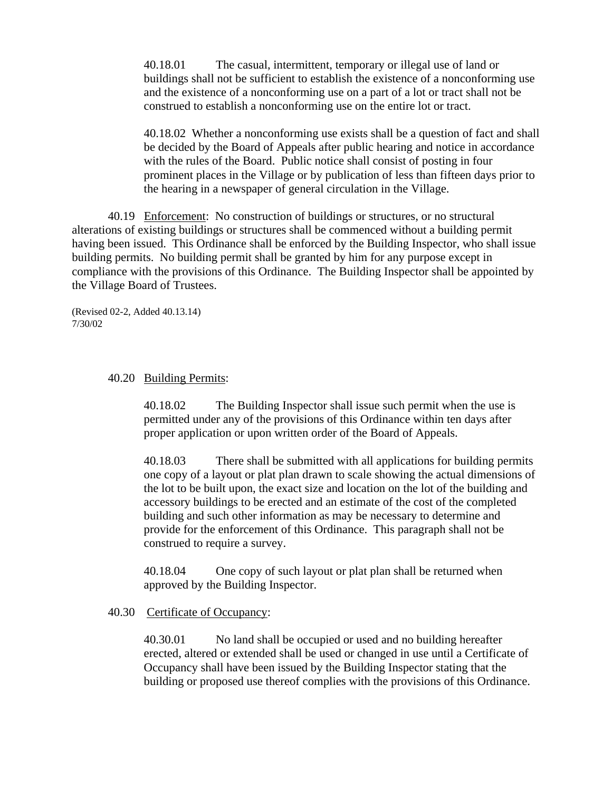40.18.01 The casual, intermittent, temporary or illegal use of land or buildings shall not be sufficient to establish the existence of a nonconforming use and the existence of a nonconforming use on a part of a lot or tract shall not be construed to establish a nonconforming use on the entire lot or tract.

40.18.02 Whether a nonconforming use exists shall be a question of fact and shall be decided by the Board of Appeals after public hearing and notice in accordance with the rules of the Board. Public notice shall consist of posting in four prominent places in the Village or by publication of less than fifteen days prior to the hearing in a newspaper of general circulation in the Village.

40.19 Enforcement: No construction of buildings or structures, or no structural alterations of existing buildings or structures shall be commenced without a building permit having been issued. This Ordinance shall be enforced by the Building Inspector, who shall issue building permits. No building permit shall be granted by him for any purpose except in compliance with the provisions of this Ordinance. The Building Inspector shall be appointed by the Village Board of Trustees.

(Revised 02-2, Added 40.13.14) 7/30/02

#### 40.20 Building Permits:

40.18.02 The Building Inspector shall issue such permit when the use is permitted under any of the provisions of this Ordinance within ten days after proper application or upon written order of the Board of Appeals.

40.18.03 There shall be submitted with all applications for building permits one copy of a layout or plat plan drawn to scale showing the actual dimensions of the lot to be built upon, the exact size and location on the lot of the building and accessory buildings to be erected and an estimate of the cost of the completed building and such other information as may be necessary to determine and provide for the enforcement of this Ordinance. This paragraph shall not be construed to require a survey.

40.18.04 One copy of such layout or plat plan shall be returned when approved by the Building Inspector.

#### 40.30 Certificate of Occupancy:

40.30.01 No land shall be occupied or used and no building hereafter erected, altered or extended shall be used or changed in use until a Certificate of Occupancy shall have been issued by the Building Inspector stating that the building or proposed use thereof complies with the provisions of this Ordinance.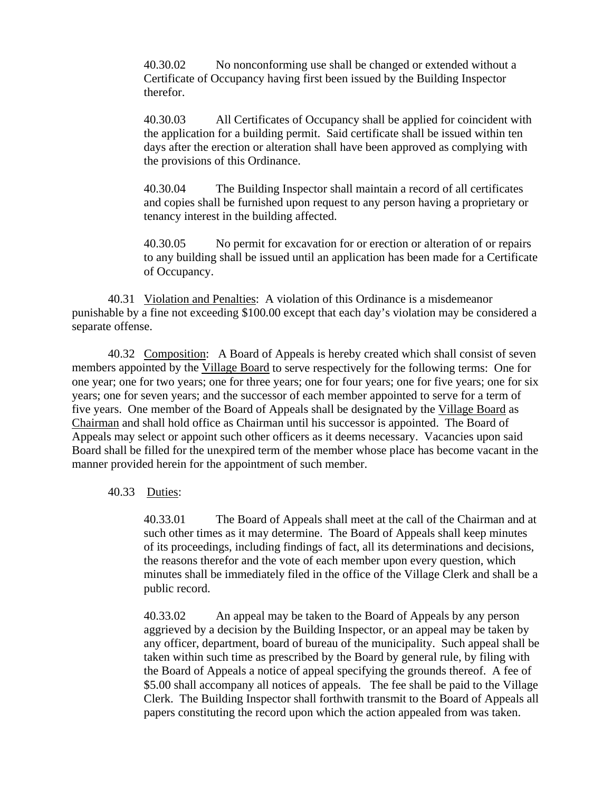40.30.02 No nonconforming use shall be changed or extended without a Certificate of Occupancy having first been issued by the Building Inspector therefor.

40.30.03 All Certificates of Occupancy shall be applied for coincident with the application for a building permit. Said certificate shall be issued within ten days after the erection or alteration shall have been approved as complying with the provisions of this Ordinance.

40.30.04 The Building Inspector shall maintain a record of all certificates and copies shall be furnished upon request to any person having a proprietary or tenancy interest in the building affected.

40.30.05 No permit for excavation for or erection or alteration of or repairs to any building shall be issued until an application has been made for a Certificate of Occupancy.

40.31 Violation and Penalties: A violation of this Ordinance is a misdemeanor punishable by a fine not exceeding \$100.00 except that each day's violation may be considered a separate offense.

40.32 Composition: A Board of Appeals is hereby created which shall consist of seven members appointed by the Village Board to serve respectively for the following terms: One for one year; one for two years; one for three years; one for four years; one for five years; one for six years; one for seven years; and the successor of each member appointed to serve for a term of five years. One member of the Board of Appeals shall be designated by the Village Board as Chairman and shall hold office as Chairman until his successor is appointed. The Board of Appeals may select or appoint such other officers as it deems necessary. Vacancies upon said Board shall be filled for the unexpired term of the member whose place has become vacant in the manner provided herein for the appointment of such member.

## 40.33 Duties:

40.33.01 The Board of Appeals shall meet at the call of the Chairman and at such other times as it may determine. The Board of Appeals shall keep minutes of its proceedings, including findings of fact, all its determinations and decisions, the reasons therefor and the vote of each member upon every question, which minutes shall be immediately filed in the office of the Village Clerk and shall be a public record.

40.33.02 An appeal may be taken to the Board of Appeals by any person aggrieved by a decision by the Building Inspector, or an appeal may be taken by any officer, department, board of bureau of the municipality. Such appeal shall be taken within such time as prescribed by the Board by general rule, by filing with the Board of Appeals a notice of appeal specifying the grounds thereof. A fee of \$5.00 shall accompany all notices of appeals. The fee shall be paid to the Village Clerk. The Building Inspector shall forthwith transmit to the Board of Appeals all papers constituting the record upon which the action appealed from was taken.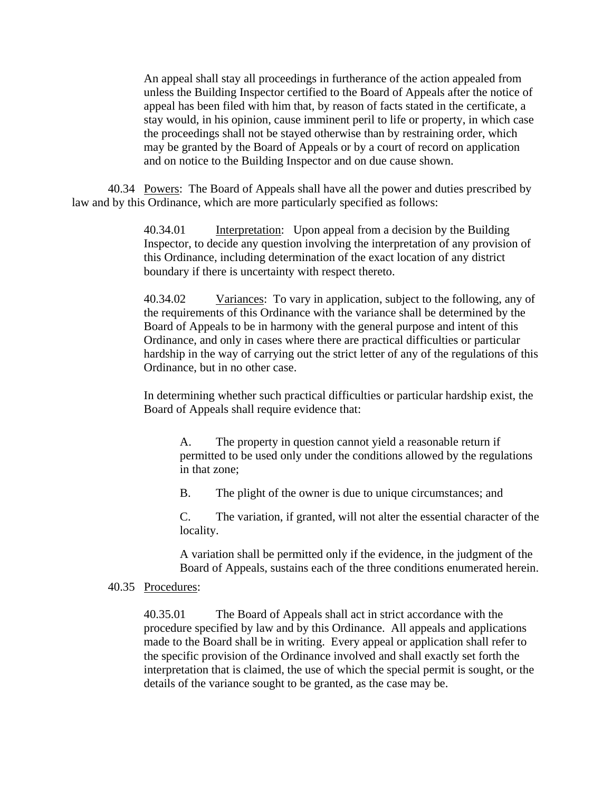An appeal shall stay all proceedings in furtherance of the action appealed from unless the Building Inspector certified to the Board of Appeals after the notice of appeal has been filed with him that, by reason of facts stated in the certificate, a stay would, in his opinion, cause imminent peril to life or property, in which case the proceedings shall not be stayed otherwise than by restraining order, which may be granted by the Board of Appeals or by a court of record on application and on notice to the Building Inspector and on due cause shown.

40.34 Powers: The Board of Appeals shall have all the power and duties prescribed by law and by this Ordinance, which are more particularly specified as follows:

> 40.34.01 Interpretation: Upon appeal from a decision by the Building Inspector, to decide any question involving the interpretation of any provision of this Ordinance, including determination of the exact location of any district boundary if there is uncertainty with respect thereto.

40.34.02 Variances: To vary in application, subject to the following, any of the requirements of this Ordinance with the variance shall be determined by the Board of Appeals to be in harmony with the general purpose and intent of this Ordinance, and only in cases where there are practical difficulties or particular hardship in the way of carrying out the strict letter of any of the regulations of this Ordinance, but in no other case.

In determining whether such practical difficulties or particular hardship exist, the Board of Appeals shall require evidence that:

A. The property in question cannot yield a reasonable return if permitted to be used only under the conditions allowed by the regulations in that zone;

B. The plight of the owner is due to unique circumstances; and

C. The variation, if granted, will not alter the essential character of the locality.

A variation shall be permitted only if the evidence, in the judgment of the Board of Appeals, sustains each of the three conditions enumerated herein.

### 40.35 Procedures:

40.35.01 The Board of Appeals shall act in strict accordance with the procedure specified by law and by this Ordinance. All appeals and applications made to the Board shall be in writing. Every appeal or application shall refer to the specific provision of the Ordinance involved and shall exactly set forth the interpretation that is claimed, the use of which the special permit is sought, or the details of the variance sought to be granted, as the case may be.